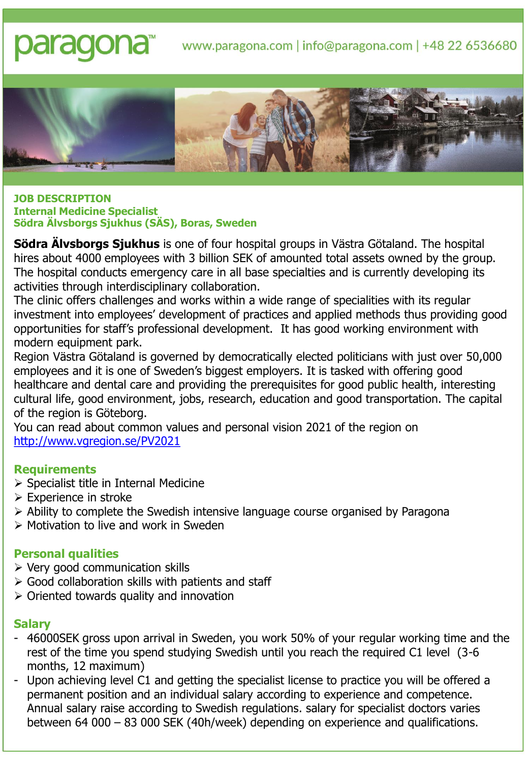# paraqona<sup>®</sup> www.paragona.com | info@paragona.com | +48 22 6536680



#### **JOB DESCRIPTION Internal Medicine Specialist Södra Älvsborgs Sjukhus (SÄS), Boras, Sweden**

**Södra Älvsborgs Sjukhus** is one of four hospital groups in Västra Götaland. The hospital hires about 4000 employees with 3 billion SEK of amounted total assets owned by the group. The hospital conducts emergency care in all base specialties and is currently developing its activities through interdisciplinary collaboration.

The clinic offers challenges and works within a wide range of specialities with its regular investment into employees' development of practices and applied methods thus providing good opportunities for staff's professional development. It has good working environment with modern equipment park.

Region Västra Götaland is governed by democratically elected politicians with just over 50,000 employees and it is one of Sweden's biggest employers. It is tasked with offering good healthcare and dental care and providing the prerequisites for good public health, interesting cultural life, good environment, jobs, research, education and good transportation. The capital of the region is Göteborg.

You can read about common values and personal vision 2021 of the region on <http://www.vgregion.se/PV2021>

# **Requirements**

- ➢ Specialist title in Internal Medicine
- ➢ Experience in stroke
- ➢ Ability to complete the Swedish intensive language course organised by Paragona
- ➢ Motivation to live and work in Sweden

# **Personal qualities**

- $\triangleright$  Very good communication skills
- $\triangleright$  Good collaboration skills with patients and staff
- $\triangleright$  Oriented towards quality and innovation

#### **Salary**

- 46000SEK gross upon arrival in Sweden, you work 50% of your regular working time and the rest of the time you spend studying Swedish until you reach the required C1 level (3-6 months, 12 maximum)
- Upon achieving level C1 and getting the specialist license to practice you will be offered a permanent position and an individual salary according to experience and competence. Annual salary raise according to Swedish regulations. salary for specialist doctors varies between 64 000 – 83 000 SEK (40h/week) depending on experience and qualifications.